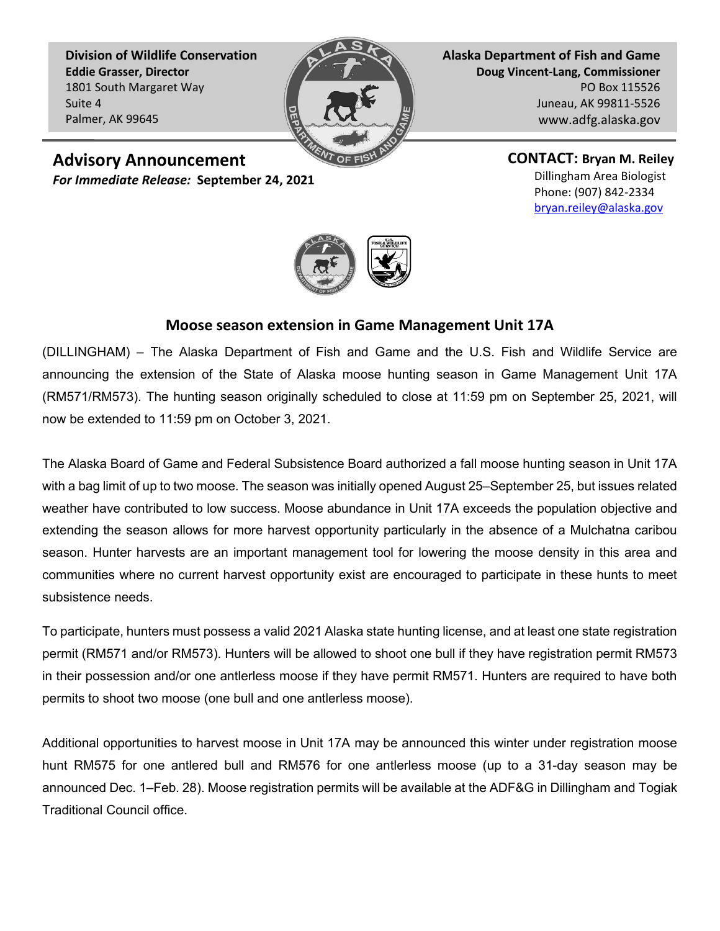**Division of Wildlife Conservation Eddie Grasser, Director** 1801 South Margaret Way Suite 4 Palmer, AK 99645



**Alaska Department of Fish and Game Doug Vincent-Lang, Commissioner** PO Box 115526 Juneau, AK 99811-5526 www.adfg.alaska.gov

**Advisory Announcement**

*For Immediate Release:* **September 24, 2021**

**CONTACT: Bryan M. Reiley** Dillingham Area Biologist Phone: (907) 842-2334 [bryan.reiley@alaska.gov](mailto:bryan.reiley@alaska.gov) 



## **Moose season extension in Game Management Unit 17A**

(DILLINGHAM) – The Alaska Department of Fish and Game and the U.S. Fish and Wildlife Service are announcing the extension of the State of Alaska moose hunting season in Game Management Unit 17A (RM571/RM573). The hunting season originally scheduled to close at 11:59 pm on September 25, 2021, will now be extended to 11:59 pm on October 3, 2021.

The Alaska Board of Game and Federal Subsistence Board authorized a fall moose hunting season in Unit 17A with a bag limit of up to two moose. The season was initially opened August 25–September 25, but issues related weather have contributed to low success. Moose abundance in Unit 17A exceeds the population objective and extending the season allows for more harvest opportunity particularly in the absence of a Mulchatna caribou season. Hunter harvests are an important management tool for lowering the moose density in this area and communities where no current harvest opportunity exist are encouraged to participate in these hunts to meet subsistence needs.

To participate, hunters must possess a valid 2021 Alaska state hunting license, and at least one state registration permit (RM571 and/or RM573). Hunters will be allowed to shoot one bull if they have registration permit RM573 in their possession and/or one antlerless moose if they have permit RM571. Hunters are required to have both permits to shoot two moose (one bull and one antlerless moose).

Additional opportunities to harvest moose in Unit 17A may be announced this winter under registration moose hunt RM575 for one antlered bull and RM576 for one antlerless moose (up to a 31-day season may be announced Dec. 1–Feb. 28). Moose registration permits will be available at the ADF&G in Dillingham and Togiak Traditional Council office.